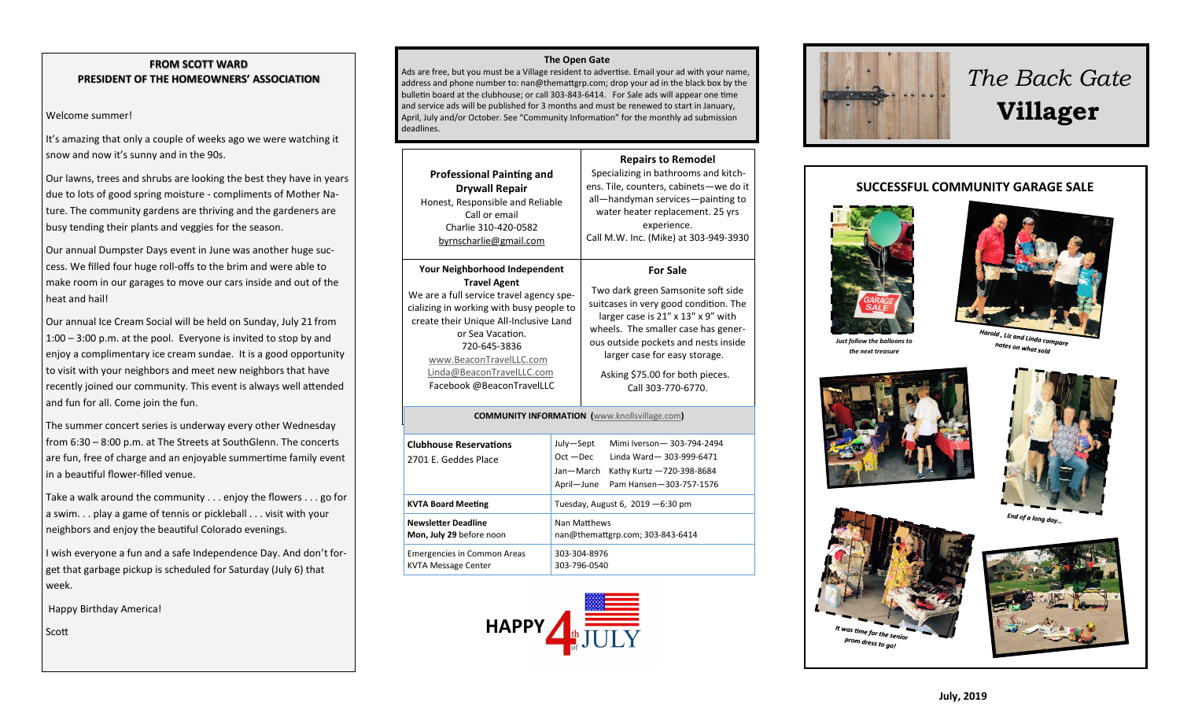#### **FROM SCOTT WARD PRESIDENT OF THE HOMEOWNERS' ASSOCIATION**

#### Welcome summer!

It's amazing that only a couple of weeks ago we were watching it snow and now it's sunny and in the 90s.

Our lawns, trees and shrubs are looking the best they have in years due to lots of good spring moisture - compliments of Mother Nature. The community gardens are thriving and the gardeners are busy tending their plants and veggies for the season.

Our annual Dumpster Days event in June was another huge success. We filled four huge roll-offs to the brim and were able to make room in our garages to move our cars inside and out of the heat and hail!

Our annual Ice Cream Social will be held on Sunday, July 21 from 1:00 – 3:00 p.m. at the pool. Everyone is invited to stop by and enjoy a complimentary ice cream sundae. It is a good opportunity to visit with your neighbors and meet new neighbors that have recently joined our community. This event is always well attended and fun for all. Come join the fun.

The summer concert series is underway every other Wednesday from 6:30 – 8:00 p.m. at The Streets at SouthGlenn. The concerts are fun, free of charge and an enjoyable summertime family event in a beautiful flower-filled venue.

Take a walk around the community . . . enjoy the flowers . . . go for a swim. . . play a game of tennis or pickleball . . . visit with your neighbors and enjoy the beautiful Colorado evenings.

I wish everyone a fun and a safe Independence Day. And don't forget that garbage pickup is scheduled for Saturday (July 6) that week.

Happy Birthday America!

Scott

#### **The Open Gate**

Ads are free, but you must be a Village resident to advertise. Email your ad with your name, address and phone number to: nan@themattgrp.com; drop your ad in the black box by the bulletin board at the clubhouse; or call 303-843-6414. For Sale ads will appear one time and service ads will be published for 3 months and must be renewed to start in January, April, July and/or October. See "Community Information" for the monthly ad submission deadlines.

| <b>Professional Painting and</b><br><b>Drywall Repair</b><br>Honest, Responsible and Reliable<br>Call or email<br>Charlie 310-420-0582<br>byrnscharlie@gmail.com                                                                                                                                                | <b>Repairs to Remodel</b><br>Specializing in bathrooms and kitch-<br>ens. Tile, counters, cabinets-we do it<br>all-handyman services-painting to<br>water heater replacement. 25 yrs<br>experience.<br>Call M.W. Inc. (Mike) at 303-949-3930                                                                  |  |
|-----------------------------------------------------------------------------------------------------------------------------------------------------------------------------------------------------------------------------------------------------------------------------------------------------------------|---------------------------------------------------------------------------------------------------------------------------------------------------------------------------------------------------------------------------------------------------------------------------------------------------------------|--|
| Your Neighborhood Independent<br><b>Travel Agent</b><br>We are a full service travel agency spe-<br>cializing in working with busy people to<br>create their Unique All-Inclusive Land<br>or Sea Vacation.<br>720-645-3836<br>www.BeaconTravelLLC.com<br>Linda@BeaconTravelLLC.com<br>Facebook @BeaconTravelLLC | <b>For Sale</b><br>Two dark green Samsonite soft side<br>suitcases in very good condition. The<br>larger case is 21" x 13" x 9" with<br>wheels. The smaller case has gener-<br>ous outside pockets and nests inside<br>larger case for easy storage.<br>Asking \$75.00 for both pieces.<br>Call 303-770-6770. |  |
| <b>COMMUNITY INFORMATION</b> (www.knollsvillage.com)                                                                                                                                                                                                                                                            |                                                                                                                                                                                                                                                                                                               |  |
| <b>Clubhouse Reservations</b>                                                                                                                                                                                                                                                                                   | July-Sept<br>Mimi Iverson-303-794-2494                                                                                                                                                                                                                                                                        |  |

| <b>Clubhouse Reservations</b><br>2701 E. Geddes Place            | July-Sept<br>$Oct - Dec$<br>Jan-March            | Mimi Iverson-303-794-2494<br>Linda Ward-303-999-6471<br>Kathy Kurtz -720-398-8684 |
|------------------------------------------------------------------|--------------------------------------------------|-----------------------------------------------------------------------------------|
|                                                                  |                                                  | April-June Pam Hansen-303-757-1576                                                |
| <b>KVTA Board Meeting</b>                                        | Tuesday, August 6, $2019 - 6:30$ pm              |                                                                                   |
| <b>Newsletter Deadline</b><br>Mon, July 29 before noon           | Nan Matthews<br>nan@themattgrp.com; 303-843-6414 |                                                                                   |
| <b>Emergencies in Common Areas</b><br><b>KVTA Message Center</b> | 303-304-8976<br>303-796-0540                     |                                                                                   |





# *The Back Gate*  **Villager**

### **SUCCESSFUL COMMUNITY GARAGE SALE**





notes on what sold

*Just follow the balloons to the next treasure*





End of a long day...